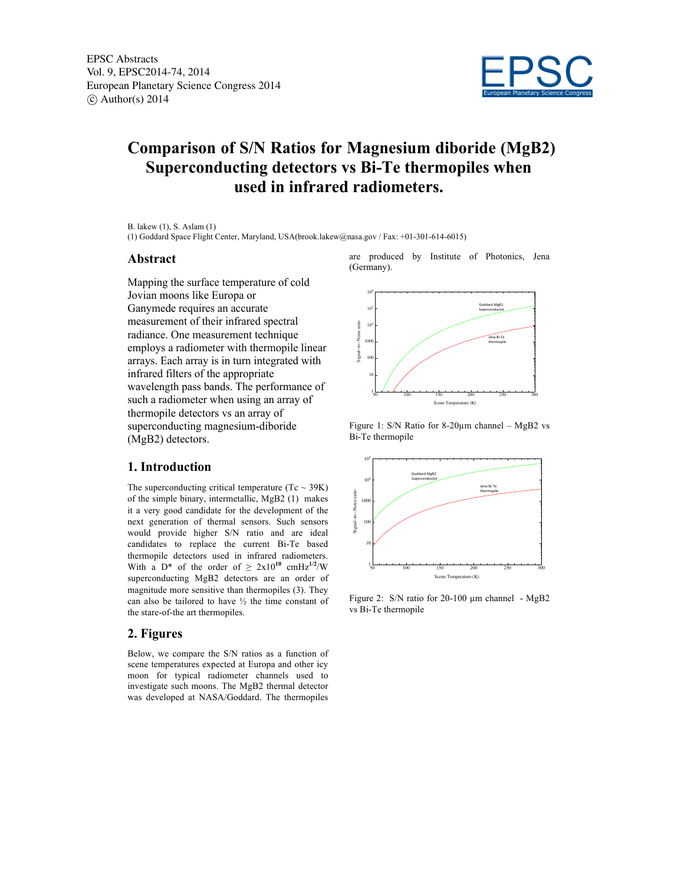

# **Comparison of S/N Ratios for Magnesium diboride (MgB2) Superconducting detectors vs Bi-Te thermopiles when used in infrared radiometers.**

B. lakew (1), S. Aslam (1)

(1) Goddard Space Flight Center, Maryland, USA(brook.lakew@nasa.gov / Fax: +01-301-614-6015)

#### **Abstract**

Mapping the surface temperature of cold Jovian moons like Europa or Ganymede requires an accurate measurement of their infrared spectral radiance. One measurement technique employs a radiometer with thermopile linear arrays. Each array is in turn integrated with infrared filters of the appropriate wavelength pass bands. The performance of such a radiometer when using an array of thermopile detectors vs an array of superconducting magnesium-diboride (MgB2) detectors.

### **1. Introduction**

The superconducting critical temperature (Tc  $\sim$  39K) of the simple binary, intermetallic, MgB2 (1) makes it a very good candidate for the development of the next generation of thermal sensors. Such sensors would provide higher S/N ratio and are ideal candidates to replace the current Bi-Te based thermopile detectors used in infrared radiometers. With a D<sup>\*</sup> of the order of  $\ge 2x10^{10}$  cmHz<sup>1/2</sup>/W superconducting MgB2 detectors are an order of magnitude more sensitive than thermopiles (3). They can also be tailored to have  $\frac{1}{2}$  the time constant of the stare-of-the art thermopiles.

#### **2. Figures**

Below, we compare the S/N ratios as a function of scene temperatures expected at Europa and other icy moon for typical radiometer channels used to investigate such moons. The MgB2 thermal detector was developed at NASA/Goddard. The thermopiles

are produced by Institute of Photonics, Jena  $(Germany)$ .



Figure 1: S/N Ratio for 8-20µm channel – MgB2 vs Bi-Te thermopile



Figure 2: S/N ratio for 20-100 µm channel - MgB2 vs Bi-Te thermopile